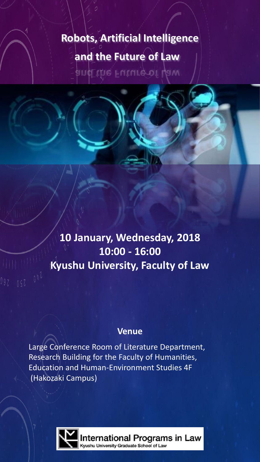# **Robots, Artificial Intelligence and the Future of Law**

and the Future of Law

# **10 January, Wednesday, 2018 10:00 - 16:00 Kyushu University, Faculty of Law**

# **Venue**

Large Conference Room of Literature Department, Research Building for the Faculty of Humanities, Education and Human-Environment Studies 4F (Hakozaki Campus)



nternational Programs in Law vushu University Graduate School of Law